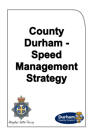# **County Durham - Speed Management Strategy**



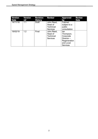| <b>Version</b><br><b>Date</b> | <b>Version</b><br>ref | <b>Revision</b><br><b>History</b> | <b>Reviser</b>                                               | <b>Approved</b><br>bv                                                                         | <b>Review</b><br><b>Date</b> |
|-------------------------------|-----------------------|-----------------------------------|--------------------------------------------------------------|-----------------------------------------------------------------------------------------------|------------------------------|
| 14/11/18                      | 1.1                   | Draft                             | John Reed,<br>Head of<br><b>Technical</b><br><b>Services</b> | Cabinet<br>subject to a<br>public<br>consultation                                             |                              |
| 19/02/19                      | 1.2                   | Final                             | John Reed,<br>Head of<br><b>Technical</b><br><b>Services</b> | lan<br>Thompson,<br>Corporate<br>Director $-$<br>Regeneration<br>and Local<br><b>Services</b> |                              |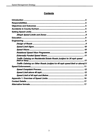## **Contents**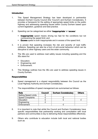#### <span id="page-3-0"></span>**Introduction**

- 1. This Speed Management Strategy has been developed in partnership between Durham County Council (the 'Council') and Durham Constabulary. It provides a framework for the setting of appropriate speed limits on the public highway and addressing speeding issues within County Durham based upon current legislation, guidance and best practice.
- 2. Speeding can be categorised as either '**inappropriate**' or '**excess**':
	- • **Inappropriate** speed means driving too fast for the conditions but not contravening the speed limit; and
	- **Excess** speed is both inappropriate and in excess of the speed limit.
- 3. It is proven that speeding increases the risk and severity of road traffic collisions. Speeding can also be a form of anti-social behaviour which can be disruptive to other highway users and the wider community.
- 4. The 3Es are used to address road safety issues including speeding and the 3Es stand for:
	- **•** Education:
	- **•** Engineering; and
	- Enforcement.
- 5. This Strategy outlines how the 3Es are used to address speeding issues in County Durham.

#### **Responsibilities**

- 6. Speed management is a shared responsibility between the Council as the Local Highway Authority and Durham Constabulary.
- 7. The responsibilities of speed management are summarised as follows:

| <b>Role</b>                 | <b>Council</b> | <b>Durham Constabulary</b> | <b>Others</b> |
|-----------------------------|----------------|----------------------------|---------------|
| <b>Setting Speed Limits</b> |                |                            |               |
| <b>Speed Complaints</b>     |                |                            |               |
| Education                   |                |                            |               |
| Engineering                 |                |                            |               |
| Enforcement                 |                |                            |               |

- 8. It is important to note that whilst the Council and Durham Constabulary have specific responsibilities that partnership working and consultation with local partners and communities is key to delivering these responsibilities effectively.
- 9. Others who contribute to education include both local and national bodies such as: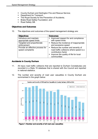- <span id="page-4-0"></span>• County Durham and Darlington Fire and Rescue Service;
- Department for Transport;
- The Royal Society for the Prevention of Accidents;
- Brake Road Safety Foundation; and
- Road Safety GB.

#### **Objectives and Outcomes**

10. The objectives and outcomes of the speed management strategy are:

| <b>Objectives</b>                                    | <b>Outcomes</b>                                                                                        |  |  |
|------------------------------------------------------|--------------------------------------------------------------------------------------------------------|--|--|
| Introduce and maintain                               | Improved respect for and compliance<br>п                                                               |  |  |
| appropriate speed limits                             | with speed limits                                                                                      |  |  |
| Targeted and proportionate                           | • Reduce the incidence of inappropriate                                                                |  |  |
| enforcement                                          | and excessive speed                                                                                    |  |  |
| Provide an effective process for<br>speed complaints | • Reduce the number and severity of<br>road traffic collisions where speed is a<br>contributory factor |  |  |
|                                                      | • Improve the quality of life for local<br>communities                                                 |  |  |

#### **Accidents in County Durham**

- 11. All injury road traffic collisions that are reported to Durham Constabulary are recorded in a Stats 19 database that is shared with the Council and reported in national statistics.
- 12. The number and severity of road user casualties in County Durham are summarised in the graph below:



 **Figure 1: Number and severity of all road user casualties**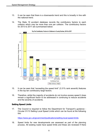- <span id="page-5-0"></span>13. It can be seen that there is a downwards trend and this is broadly in line with the national trend.
- 14. The Stats 19 accident database records the contributory factors to each collision which may be more than one per collision. The contributory factors for 2013 to 2017 are summarised below:



- 15. It can be seen that "exceeding the speed limit" (3.31% rank seventh) features in the top ten contributory large factors.
- 16. Therefore, whilst the majority of accidents do not involve excess speed it does remain a significant factor to be addressed in continuing to reduce accidents and the severity of accidents.

#### **Setting Speed Limits**

 17. The Council is required to follow the Department for Transport's guidance - Circular 01/13 Setting Local Speed Limits which can be found at the following link:

<https://www.gov.uk/government/publications/setting-local-speed-limits>

 18. Speed limits for new developments are assessed as part of the planning process. All existing roads have speed limits and these are reviewed if there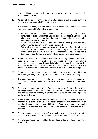is a significant change to the road or its environment or in response to speeding complaints.

- 19. As part of the speed limit review of existing roads a traffic speed survey is undertaken over a period of 7 calendar days.
- 20. If a permanent change in the speed limit is justified this requires a Traffic Regulation Order (TRO) and this is subject to:
	- consultees (Police, Ambulance Service and Fire & Rescue Service). This allows any issues to be identified at an early stage and the plans amended Informal consultations with affected parties including the statutory as appropriate where possible;
	- A formal consultation is then undertaken with affected parties including statutory consultees on the amended plans; and
	- consultations are reported to the Council's Highways Committee for consideration and Members make a recommendation. The final decision is • Outstanding representations and objections from the informal and formal delegated to the Corporate Director - Regeneration and Local Services.
- 21. Speed limits should be evidence-led and self-explaining and seek to reinforce people's assessment of what is a safe speed to travel. They should encourage self-compliance. Speed limits should be seen by drivers as the maximum rather than a target speed at which to drive irrespective of the conditions. It is often not appropriate or safe to drive at the maximum speed.
- 22. Speed limits should not be set in isolation but as a package with other measures (the 3Es) to manage vehicle speeds and improve road safety.
- 23. If a speed limit is set unrealistically low for the particular road function and condition, it may be ineffective and drivers may not comply with the speed limit.
- 24. The average speed (determined from a speed survey) also referred to as mean speed should be used as the basis for determining local speed limits as this reflects what the majority of drivers perceive as an appropriate speed to be driven for the road.
- 25. Speed limits should not be used to attempt to solve the problem of isolated hazards, for example a single road junction or reduced forward visibility such as a bend, since speed limits are difficult to enforce over such a short length. Engineering measures are likely to be more effective in addressing such hazards.
- 26. The aim should be to achieve a safe distribution of speeds consistent with the speed limit that reflects the function of the road and the road environment.
- 27. The following factors are considered when determining what is an appropriate speed limit: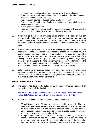- <span id="page-7-0"></span>• History of collisions including frequency, severity, types and causes;
- • Road geometry and engineering (width, sightlines, bends, junctions, accesses and safety barriers, etc);
- Road function (strategic, through traffic, local access, etc);
- • Composition of road users (including existing and potential levels of vulnerable road users);
- Existing traffic speeds; and
- • Road environment including level of roadside development and possible impacts on residents (e.g. severance, noise or air quality).
- 28. It may well be that a speed limit need not be changed if the collision rate can be improved or wider quality of life objectives can be achieved through other speed management measures or other measures. These alternative measures should always be considered before proceeding with a new speed limit.
- stretch of road the reasons for non-compliance should be examined before a solution is sought. If the speed limit is set too low for no clear reason and the risk of collisions is low then it may be appropriate to increase the limit. If the existing limit is in place for a good reason, solutions may include engineering measures or changes to the road environment to ensure it better matches the speed limit, or local education and publicity. Enforcement may also be appropriate but should be considered only after the other measures. 29. Where there is poor compliance with an existing speed limit on a road or
- 30. Before changing an existing speed limit and introducing any engineering measures required to support a new speed limit the Council needs to be satisfied that the benefits exceed the costs (monetary and non-monetary) and that there is appropriate funding available.

#### *20mph Speed Limits and Zones*

 31. The Council has developed a policy on 20 mph speed limits and zones which can be found at the following link:

[http://www.durham.gov.uk/media/16848/20-mph-Speed-Limits-and-Zones-](http://www.durham.gov.uk/media/16848/20-mph-Speed-Limits-and-Zones-Policy-2016/pdf/20mph_Speed_Limits_and_Zones_Policy_2016.pdf)Policy-2016/pdf/20mph\_Speed\_Limits\_and\_Zones\_Policy\_2016.pdf

- 32. 20 mph speed limits and zones can be summarised as follows:
	- • 20 mph Speed Limits: These involve 20 mph traffic signs only. They are suitable for residential estate roads and side streets, where the nature of the road tends to result in naturally low average speeds of less than 24 mph. Research indicates that limits achieve an average speed reduction of up to 1 mph unless speeds are already low;
	- • 20 mph Speed Limit Zone: These involve 20 mph traffic signs plus traffic calming measures to ensure that the 20 mph limit is self-enforcing. In order that drivers are aware of the zones, traffic signs must be erected at every entrance/exit to the zone. Research indicates that a 20 mph speed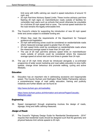<span id="page-8-0"></span> limit zone with traffic calming can result in speed reductions of around 10 mph; and

- • 20 mph Part-time Advisory Speed Limits: These involve advisory part-time flashing 20 mph signs on main/distributor roads outside of facilities for vulnerable road users such as schools that would otherwise be unsuitable for a full-time 20 mph speed limit or zone. The normal speed restriction for the road remains the legally enforceable limit.
- 33. The Council's criteria for supporting the introduction of new 20 mph speed limits and zones subject to available funding are:
	- • Where they meet the requirements of the Department for Transport guidance and legislation;
	- • 20 mph self-enforcing zones could be considered on residential/side roads where measured average speed is greater than 24 mph;
	- • 20 mph speed limits could be considered on residential/side roads where the measured average speed is lower than 24 mph; and
	- • The use of 20 mph part-time advisory speed limits on main/distributor roads outside of schools could be considered where the measured average speed at school start and end times is greater than 24 mph.
- 34. The use of 20 mph limits should be introduced alongside a co-ordinated programme of wider social marketing and road safety education to slow traffic speeds, change driver behaviour and promote walking, cycling and active lifestyles.

#### **Education**

 35. Education has an important role in addressing excessive and inappropriate speed. The County Durham and Darlington Road Safety Partnership delivers a comprehensive range of road safety education, training and publicity initiatives and further details can be found at:

<http://www.durham.gov.uk/roadsafety>

[https://www.durham.police.uk/Information-and-advice/Pages/Casualty-](https://www.durham.police.uk/Information-and-advice/Pages/Casualty-Reduction.aspx)Reduction.aspx

#### **Engineering**

 36. Speed management through engineering involves the design of roads, signage, lining and traffic calming measures.

#### *Design of Roads*

 37. The Council's "Highway Design Guide for Residential Developments - 2014" requires that residential roads should be designed such that the geometry and physical features limit vehicle speeds to 20 mph.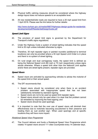- <span id="page-9-0"></span> 38. Physical traffic calming measures should be considered where the highway design layout does not reduce speeds to an acceptable level.
- 39. All new residential/side roads are required to have a 20 mph speed limit from 1 April 2016. Please see the link below for further details:

[http://www.durham.gov.uk/media/5887/Highways-design-guide-for-residential](http://www.durham.gov.uk/media/5887/Highways-design-guide-for-residentialdevelopment/pdf/ResidentialDesignGuide.pdf)development/pdf/ResidentialDesignGuide.pdf

#### *Speed Limit Signs*

- 40. The provision of speed limit signs is governed by the Department for Transport's traffic signs regulations.
- 41. Under the Highway Code a system of street lighting indicates that the speed limit is 30 mph unless indicated otherwise by signs.
- 42. Therefore, 30 mph repeater signs or painted roundels (additional to terminal locations) can only be provided where a 30 mph Speed Limit Order is in place and there is no system of street lighting.
- 43. On rural single and dual carriageway roads, the speed limit is defined as being the National Speed Limit (60 mph or 70 mph respectively) unless signs advise otherwise. Where a speed limit other than the National Limit applies and/or there are street lights present, repeater signs are provided.

#### *Speed Visors*

- 44. Speed visors are activated by approaching vehicles to advise the motorist of the speed limit or their actual speed.
- 45. The DfT recommends that:
	- • Speed visors should be considered only when there is an accident problem associated with inappropriate speed that has not been satisfactorily remedied by standard signing;
	- Speed visors are not to be used as speed limit repeater signs:
	- • Speed visors should only be used when it is clear that the problem cannot be remedied by improving the fixed signing; and
	- Speed visors should be used sparingly.
- 46. It is important to note that the over use of speed visors will diminish their effectiveness due to motorists becoming accustomed to their presence and treating them as 'just another sign'. When used sparingly and at specific locations they will have more impact.

#### *Rotational Speed Visor Programme*

 47. The Council delivers and funds a Rotational Speed Visor Programme which rotates 14 speed visors around 111 sites Countywide every 14 calendar days.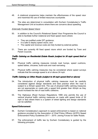- <span id="page-10-0"></span> 48. A rotational programme helps maintain the effectiveness of the speed visor and maximise the use of limited resources countywide.
- 49. The sites are determined in consultation with Durham Constabulary's Traffic Management Unit at locations where there are concerns about speeding.

#### *Externally Funded Speed Visors*

- 50. In addition to the Council's Rotational Speed Visor Programme the Council is able to facilitate further rotational and fixed speed visors where:
	- They are justified under DfT guidance;
	- It is safe to deploy speed visors; and
	- The capital and revenue costs are fully funded by external parties.
- 51. There are currently 48 fixed speed visors which are funded by Town and Parish Councils.

#### *Traffic Calming on Residential Estate Roads (subject to 30 mph speed limit or less)*

- 52. Physical traffic calming measures include road humps, speed cushions, speed tables, chicanes, build-outs and road narrowing.
- 53. Physical traffic calming measures may be considered where speed surveys indicate that the average speed is at or above 24 mph.

#### *Traffic Calming on Other Roads (subject to 40 mph speed limit or above)*

- 54. The introduction of physical traffic calming measures must be carefully subject to a 40mph speed limit. The use of physical traffic calming measures are not appropriate on roads with a speed limit greater than 40mph as they considered against design standards and best practice when the road is would increase the risk of road traffic collisions.
- 55. The Highways (Road Humps) Regulations 1999 only permits the use of vertical physical traffic calming measures on roads with speed limits of 30 mph or less where there is a system of street lighting and design standards can be satisfied.

#### **Speed Enforcement**

- 56. Durham Constabulary's approach to speed enforcement is based on national guidance provided by the Association of Chief Police Officers (ACPO) Speed Enforcement Policy Guidelines 2011 – 2015: Joining Forces for Safer Roads.
- 57. The enforcement of traffic law by Durham Constabulary is guided by the following principles: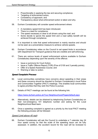- <span id="page-11-0"></span>• Proportionality in applying the law and securing compliance;
- Targeting of enforcement action;
- Consistency of approach; and
- Transparency about what enforcement action is taken and why.
- 58. Durham Constabulary will consider speed enforcement where:
	- A mandatory speed limit has been introduced;
	- There is a need for compliance;
	- The speed necessary is clear to all drivers using the road; and
	- • Some decide to ignore the speed limit and a road safety benefit will be achieved through compliance.
- 59. It is important to note that speed enforcement is mainly reactive and should not be seen as a preventative measure to achieve vehicle speeds.
- 60. Durham Constabulary relies on the Council to set speed limits in accordance with Department for Transport guidance that are credible and self-enforcing.
- 61. There are various levels of speed enforcement actions available to Durham Constabulary depending upon the severity of the offence:
	- **Issue a summons for Court Action;**
	- Issue a Traffic Offence Report (TOR) (Fine of £100 and 3 penalty points);
	- Offer of a Speed Awareness Course; and
	- Warning or take no action.

#### *Speed Complaint Process*

- 62. Local communities sometimes have concerns about speeding in their areas and these concerns should be directed to Durham Constabulary's local Police and Communities Together (PACT) meetings. This enables local communities to agree priorities that they wish the Police to pursue.
- 63. Details of PACT meetings can be found at the following link:

<https://www.durham.police.uk/Your-Neighbourhood/Pages/default.aspx>

- 64. Alternatively, details can be obtained by telephoning Durham Constabulary on their non-emergency 101 telephone number and asking for the Local Neighbourhood Beat team.
- 65. Once a speeding complaint is agreed as a priority by the local PACT meeting the following process will be followed:

#### *Speed Limit above 40 mph*

 66. Durham Constabulary will ask the Council to undertake a 7 calendar day 24 hour speed survey so that the scale of the speeding issue can be fully assessed. In addition, the accident record for the road will be reviewed to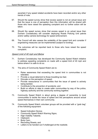<span id="page-12-0"></span> ascertain if any speed related accidents have been recorded and/or any other trends of note.

- 67. Should the speed survey show that excess speed is not an actual issue and that the issue is one of perception then this information will be shared with those who have raised the speeding complaint and no further action will be taken.
- 68. Should the speed survey show that excess speed is an actual issue then Durham Constabulary will consider deploying Roads Policing Unit patrols and/or safety camera technology for speed enforcement.
- 69. The Council will also assess the suitability of the speed limit and consider if engineering measures can be implemented (subject to funding).
- 70. The outcomes will be reported back to those who have raised the speed complaint.

#### *Speed Limit of 40 mph and Below*

- 71. Durham Constabulary has developed the Community Speed Watch initiative to address speeding complaints on roads with a speed limit of 40 mph and below where it is safe to do so.
- 72. The aims of Community Speed Watch are to:
	- • Raise awareness that exceeding the speed limit in communities is not tolerated;
	- Provide a visual deterrent to those travelling too fast;
	- Educate on the perception of speed;
	- • Provide reassurance in communities that the issue of speed is actively being tackled;
	- Contribute to the prevention of accidents; and
	- • Build on efforts to date to create safer communities by way of the police, highway authority and the community working together.
- 73. Community Speed Watch is about giving a degree of ownership to local communities to tackle the issue of speed and the perceptions around actual speed themselves in their own community.
- 74. Community Speed Watch volunteer groups will be provided with a "grab bag" of the following equipment:
	- Speed Indication Device:
	- Community Speed Watch Warning Signs;
	- High Visibility Tabards;
	- Clipboard;
	- Body Cam;
	- Recording Sheets; and
	- Letters to be handed out if challenged at the roadside.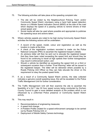- 75. The following activities will take place at the speeding complaint site:
	- Community Speed Watch volunteers using a hand held speed detection which displays the speed of a passing vehicle to remind drivers of their • The site will be visited by the Neighbourhood Policing Team and/or device or a Mobile Speed Indication Device (MSID) at the side of the road actual speed; and
	- Social media will also be used where possible and appropriate to publicise the speeding issue and actions taken.
- 76. Where vehicles speeds are noted to be high during Community Speed Watch activities the following actions will be undertaken:
	- • A record of the speed, model, colour and registration as well as the location is made at the time;
	- • A check of the registration numbers recorded is made via the Police National Computer (PNC) to ascertain the registered keeper's details;
	- that they have been noted exceeding the speed limit and should they be found to be continuing to travel at high speeds then further transgression • An advisory letter will then be sent out to educate the registered keeper may result in enforcement action; and
	- Roads Policing Unit Officer so they can help educate the driver on the • Should a vehicle be identified as exceeding the speed limit on a third or subsequent occasion then a further "Final Warning" letter will be issued to the registered keeper. The letter will be delivered where possible by a requirement to obey the posted speed limits.
- 77. If, as a result of a Community Speed Watch activity, the data collected indicates a genuine overall speeding issue, this will be escalated to the Police Traffic Management Unit for further consideration.
- feasibility of a full 7 day 24 hour speed survey being conducted by Durham County Council to gain a more detailed analysis of the problem which is not influenced by a uniformed Police presence or Community Speed Watch 78. The Traffic Management Unit will then examine the site to ascertain the activity.
- 79. This may result in:
	- Recommendations of engineering measures;
	- A speed limit change:
	- A Problem Profile created for a speed enforcement campaign to be carried out by Roads Policing Unit; or
	- Deployment of Mobile Safety Camera technology.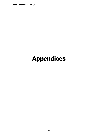# **Appendices**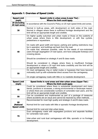## <span id="page-15-0"></span>**Appendix 1: Overview of Speed Limits**

| <b>Speed Limit</b><br>(mph)   | <b>Speed Limits in urban areas (Lower Tier):</b><br>Where the limit could apply                                                                                                                                                                             |  |
|-------------------------------|-------------------------------------------------------------------------------------------------------------------------------------------------------------------------------------------------------------------------------------------------------------|--|
| 20 (including<br>20 mph zone) | In accordance with the Council's Policy on 20 mph speed limits and zones.                                                                                                                                                                                   |  |
| 30                            | Normal in built-up areas, with development on both sides of the road.<br>Normal in villages where there is sufficient frontage development and the<br>limit will be an appropriate length and credible.                                                     |  |
|                               | On higher quality suburban and urban roads or those on the outskirts of<br>urban areas where there is little development, or with few cyclists,<br>pedestrians or equestrians.<br>On roads with good width and layout, parking and waiting restrictions may |  |
| 40                            | be in operation, and buildings set back from the road.<br>On roads that, wherever possible, cater for the needs of non-motorised<br>users through segregation of road space, and have adequate footways and<br>crossing places.                             |  |
|                               | Should be considered on strategic A and B class roads.                                                                                                                                                                                                      |  |
|                               | Should be considered in villages where there is insufficient frontage<br>development or where a 30 mph limit lacks credibility and the limit will be<br>an appropriate length and credible.                                                                 |  |
| 50                            | On dual carriageway ring or radial routes or bypasses that have become<br>noticeably built up with substantial direct access from the carriageway.                                                                                                          |  |
|                               | On single carriageway roads with little or no roadside development.                                                                                                                                                                                         |  |

| <b>Speed Limit</b><br>(mph) | Speed limits in rural areas and inter-urban areas (Upper Tier) :<br>Where the limit could apply                                                  |  |
|-----------------------------|--------------------------------------------------------------------------------------------------------------------------------------------------|--|
|                             | Could be considered where there is substantial development and many<br>bends, junctions or accesses, a strong environmental or landscape reason, |  |
| 40                          | or where there are considerable numbers of vulnerable road users, and the<br>limit will be an appropriate length and credible.                   |  |
| 50                          | Can be considered and implemented as part of a package of measures<br>where accidents are an issue and cannot be resolved by other methods.      |  |
|                             | Recommended for most high quality and strategic A and B class roads.                                                                             |  |
| 60                          |                                                                                                                                                  |  |
| (National                   | Normal limit for rural roads with little or sporadic frontage development.                                                                       |  |
| <b>Speed Limit)</b>         |                                                                                                                                                  |  |
|                             | Normal limit for rural and inter-urban lanes.                                                                                                    |  |
|                             | Dual carriageway roads with segregated junctions and separate facilities                                                                         |  |
|                             | for vulnerable road users.                                                                                                                       |  |
| 70                          |                                                                                                                                                  |  |
|                             | Inter-urban and rural dual carriageways with little, sporadic or no frontage<br>development.                                                     |  |